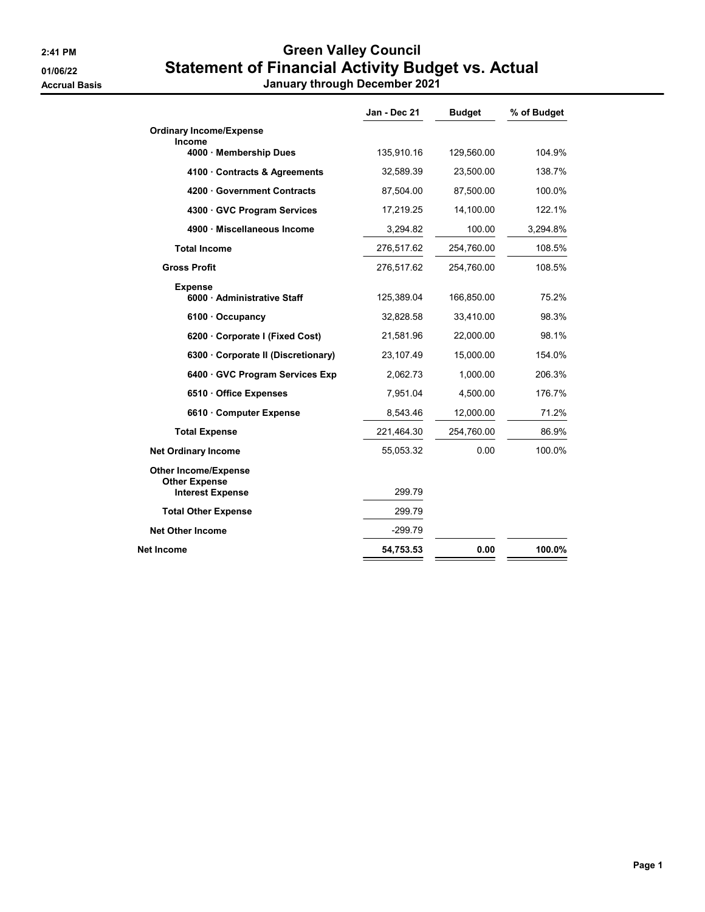## 2:41 PM Creen Valley Council 01/06/22 Statement of Financial Activity Budget vs. Actual

Accrual Basis January through December 2021

|                                                     | Jan - Dec 21 | <b>Budget</b> | % of Budget |
|-----------------------------------------------------|--------------|---------------|-------------|
| <b>Ordinary Income/Expense</b>                      |              |               |             |
| Income<br>4000 · Membership Dues                    | 135,910.16   | 129,560.00    | 104.9%      |
| 4100 Contracts & Agreements                         | 32,589.39    | 23,500.00     | 138.7%      |
| 4200 Government Contracts                           | 87,504.00    | 87,500.00     | 100.0%      |
| 4300 GVC Program Services                           | 17,219.25    | 14,100.00     | 122.1%      |
| 4900 · Miscellaneous Income                         | 3,294.82     | 100.00        | 3,294.8%    |
| <b>Total Income</b>                                 | 276,517.62   | 254,760.00    | 108.5%      |
| <b>Gross Profit</b>                                 | 276,517.62   | 254,760.00    | 108.5%      |
| <b>Expense</b><br>6000 · Administrative Staff       | 125,389.04   | 166,850.00    | 75.2%       |
| $6100 \cdot$ Occupancy                              | 32,828.58    | 33,410.00     | 98.3%       |
| 6200 Corporate I (Fixed Cost)                       | 21,581.96    | 22,000.00     | 98.1%       |
| 6300 Corporate II (Discretionary)                   | 23,107.49    | 15,000.00     | 154.0%      |
| 6400 GVC Program Services Exp                       | 2,062.73     | 1,000.00      | 206.3%      |
| 6510 Office Expenses                                | 7,951.04     | 4,500.00      | 176.7%      |
| 6610 Computer Expense                               | 8,543.46     | 12,000.00     | 71.2%       |
| <b>Total Expense</b>                                | 221,464.30   | 254,760.00    | 86.9%       |
| <b>Net Ordinary Income</b>                          | 55,053.32    | 0.00          | 100.0%      |
| <b>Other Income/Expense</b><br><b>Other Expense</b> |              |               |             |
| <b>Interest Expense</b>                             | 299.79       |               |             |
| <b>Total Other Expense</b>                          | 299.79       |               |             |
| <b>Net Other Income</b>                             | $-299.79$    |               |             |
| Net Income                                          | 54,753.53    | 0.00          | 100.0%      |